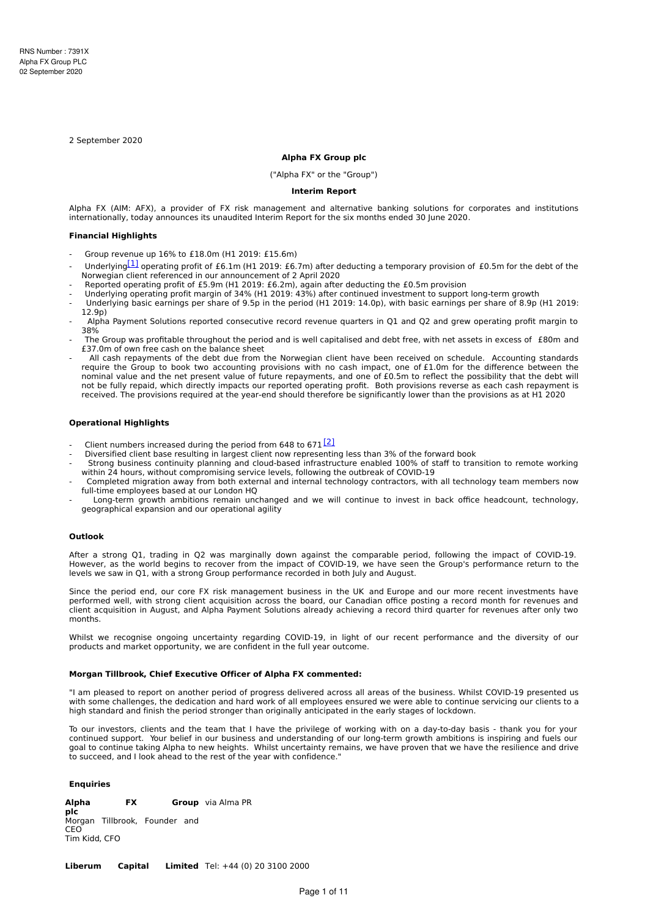2 September 2020

#### **Alpha FX Group plc**

("Alpha FX" or the "Group")

#### **Interim Report**

Alpha FX (AIM: AFX), a provider of FX risk management and alternative banking solutions for corporates and institutions internationally, today announces its unaudited Interim Report for the six months ended 30 June 2020.

## **Financial Highlights**

- Group revenue up 16% to £18.0m (H1 2019: £15.6m)
- Underlying II operating profit of £6.1m (H1 2019: £6.7m) after deducting a temporary provision of £0.5m for the debt of the Norwegian client referenced in our announcement of 2 April 2020
- Reported operating profit of £5.9m (H1 2019: £6.2m), again after deducting the £0.5m provision
- Underlying operating profit margin of 34% (H1 2019: 43%) after continued investment to support long-term growth
- Underlying basic earnings per share of 9.5p in the period (H1 2019: 14.0p), with basic earnings per share of 8.9p (H1 2019: 12.9p)
- Alpha Payment Solutions reported consecutive record revenue quarters in Q1 and Q2 and grew operating profit margin to 38%
- The Group was profitable throughout the period and is well capitalised and debt free, with net assets in excess of £80m and £37.0m of own free cash on the balance sheet
- All cash repayments of the debt due from the Norwegian client have been received on schedule. Accounting standards require the Group to book two accounting provisions with no cash impact, one of £1.0m for the difference between the nominal value and the net present value of future repayments, and one of £0.5m to reflect the possibility that the debt will not be fully repaid, which directly impacts our reported operating profit. Both provisions reverse as each cash repayment is received. The provisions required at the year-end should therefore be significantly lower than the provisions as at H1 2020

## **Operational Highlights**

- Client numbers increased during the period from 648 to 671  $\boxed{2}$
- Diversified client base resulting in largest client now representing less than 3% of the forward book
- Strong business continuity planning and cloud-based infrastructure enabled 100% of staff to transition to remote working within 24 hours, without compromising service levels, following the outbreak of COVID-19
- Completed migration away from both external and internal technology contractors, with all technology team members now full-time employees based at our London HQ
- Long-term growth ambitions remain unchanged and we will continue to invest in back office headcount, technology, geographical expansion and our operational agility

#### **Outlook**

After a strong Q1, trading in Q2 was marginally down against the comparable period, following the impact of COVID-19. However, as the world begins to recover from the impact of COVID-19, we have seen the Group's performance return to the levels we saw in Q1, with a strong Group performance recorded in both July and August.

Since the period end, our core FX risk management business in the UK and Europe and our more recent investments have performed well, with strong client acquisition across the board, our Canadian office posting a record month for revenues and client acquisition in August, and Alpha Payment Solutions already achieving a record third quarter for revenues after only two months.

Whilst we recognise ongoing uncertainty regarding COVID-19, in light of our recent performance and the diversity of our products and market opportunity, we are confident in the full year outcome.

## **Morgan Tillbrook, Chief Executive Officer of Alpha FX commented:**

"I am pleased to report on another period of progress delivered across all areas of the business. Whilst COVID-19 presented us with some challenges, the dedication and hard work of all employees ensured we were able to continue servicing our clients to a high standard and finish the period stronger than originally anticipated in the early stages of lockdown.

To our investors, clients and the team that I have the privilege of working with on a day-to-day basis - thank you for your continued support. Your belief in our business and understanding of our long-term growth ambitions is inspiring and fuels our goal to continue taking Alpha to new heights. Whilst uncertainty remains, we have proven that we have the resilience and drive to succeed, and I look ahead to the rest of the year with confidence."

#### **Enquiries**

**Alpha FX Group** via Alma PR **plc** Morgan Tillbrook, Founder and CEO Tim Kidd, CFO

**Liberum Capital Limited** Tel: +44 (0) 20 3100 2000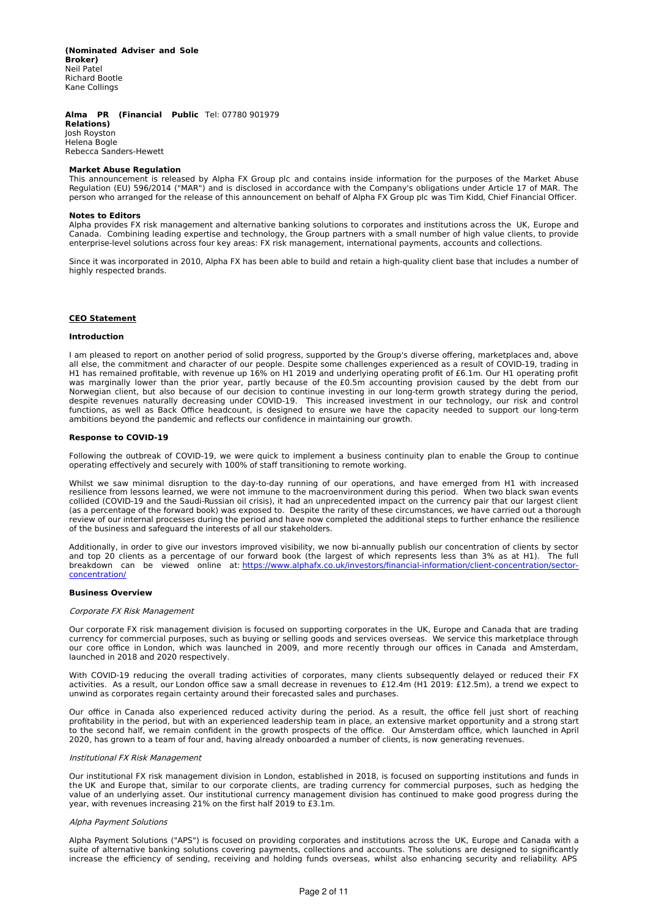**(Nominated Adviser and Sole Broker)** Neil Patel Richard Bootle Kane Collings

**Alma PR (Financial Public** Tel: 07780 901979

**Relations)** Josh Royston Helena Bogle Rebecca Sanders-Hewett

#### **Market Abuse Regulation**

This announcement is released by Alpha FX Group plc and contains inside information for the purposes of the Market Abuse Regulation (EU) 596/2014 ("MAR") and is disclosed in accordance with the Company's obligations under Article 17 of MAR. The person who arranged for the release of this announcement on behalf of Alpha FX Group plc was Tim Kidd, Chief Financial Officer.

#### **Notes to Editors**

Alpha provides FX risk management and alternative banking solutions to corporates and institutions across the UK, Europe and Canada. Combining leading expertise and technology, the Group partners with a small number of high value clients, to provide enterprise-level solutions across four key areas: FX risk management, international payments, accounts and collections.

Since it was incorporated in 2010, Alpha FX has been able to build and retain a high-quality client base that includes a number of highly respected brands.

## **CEO Statement**

#### **Introduction**

I am pleased to report on another period of solid progress, supported by the Group's diverse offering, marketplaces and, above all else, the commitment and character of our people. Despite some challenges experienced as a result of COVID-19, trading in H1 has remained profitable, with revenue up 16% on H1 2019 and underlying operating profit of £6.1m. Our H1 operating profit was marginally lower than the prior year, partly because of the £0.5m accounting provision caused by the debt from our Norwegian client, but also because of our decision to continue investing in our long-term growth strategy during the period, despite revenues naturally decreasing under COVID-19. This increased investment in our technology, our risk and control functions, as well as Back Office headcount, is designed to ensure we have the capacity needed to support our long-term ambitions beyond the pandemic and reflects our confidence in maintaining our growth.

### **Response to COVID-19**

Following the outbreak of COVID-19, we were quick to implement a business continuity plan to enable the Group to continue operating effectively and securely with 100% of staff transitioning to remote working.

Whilst we saw minimal disruption to the day-to-day running of our operations, and have emerged from H1 with increased resilience from lessons learned, we were not immune to the macroenvironment during this period. When two black swan events collided (COVID-19 and the Saudi-Russian oil crisis), it had an unprecedented impact on the currency pair that our largest client (as a percentage of the forward book) was exposed to. Despite the rarity of these circumstances, we have carried out a thorough review of our internal processes during the period and have now completed the additional steps to further enhance the resilience of the business and safeguard the interests of all our stakeholders.

Additionally, in order to give our investors improved visibility, we now bi-annually publish our concentration of clients by sector and top 20 clients as a percentage of our forward book (the largest of which represents less than 3% as at H1). The full breakdown can be viewed online at: [https://www.alphafx.co.uk/investors/financial-information/client-concentration/sector](https://www.alphafx.co.uk/investors/financial-information/client-concentration/sector-concentration/)concentration/

#### **Business Overview**

## Corporate FX Risk Management

Our corporate FX risk management division is focused on supporting corporates in the UK, Europe and Canada that are trading currency for commercial purposes, such as buying or selling goods and services overseas. We service this marketplace through our core office in London, which was launched in 2009, and more recently through our offices in Canada and Amsterdam, launched in 2018 and 2020 respectively.

With COVID-19 reducing the overall trading activities of corporates, many clients subsequently delayed or reduced their FX activities. As a result, our London office saw a small decrease in revenues to £12.4m (H1 2019: £12.5m), a trend we expect to unwind as corporates regain certainty around their forecasted sales and purchases.

Our office in Canada also experienced reduced activity during the period. As a result, the office fell just short of reaching profitability in the period, but with an experienced leadership team in place, an extensive market opportunity and a strong start to the second half, we remain confident in the growth prospects of the office. Our Amsterdam office, which launched in April 2020, has grown to a team of four and, having already onboarded a number of clients, is now generating revenues.

#### Institutional FX Risk Management

Our institutional FX risk management division in London, established in 2018, is focused on supporting institutions and funds in the UK and Europe that, similar to our corporate clients, are trading currency for commercial purposes, such as hedging the value of an underlying asset. Our institutional currency management division has continued to make good progress during the year, with revenues increasing 21% on the first half 2019 to £3.1m.

#### Alpha Payment Solutions

Alpha Payment Solutions ("APS") is focused on providing corporates and institutions across the UK, Europe and Canada with a suite of alternative banking solutions covering payments, collections and accounts. The solutions are designed to significantly increase the efficiency of sending, receiving and holding funds overseas, whilst also enhancing security and reliability. APS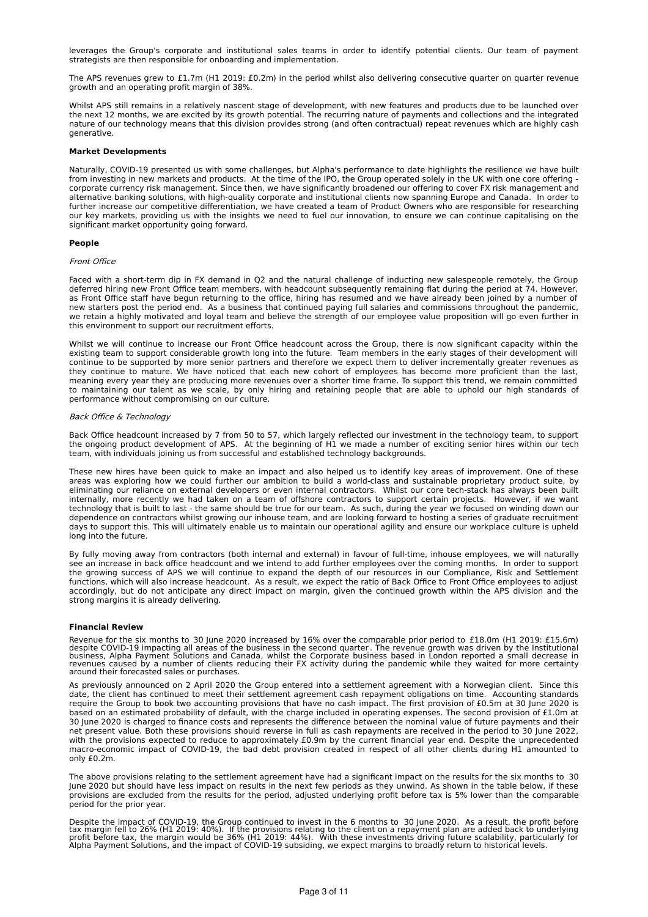leverages the Group's corporate and institutional sales teams in order to identify potential clients. Our team of payment strategists are then responsible for onboarding and implementation.

The APS revenues grew to £1.7m (H1 2019: £0.2m) in the period whilst also delivering consecutive quarter on quarter revenue growth and an operating profit margin of 38%.

Whilst APS still remains in a relatively nascent stage of development, with new features and products due to be launched over the next 12 months, we are excited by its growth potential. The recurring nature of payments and collections and the integrated nature of our technology means that this division provides strong (and often contractual) repeat revenues which are highly cash generative.

## **Market Developments**

Naturally, COVID-19 presented us with some challenges, but Alpha's performance to date highlights the resilience we have built from investing in new markets and products. At the time of the IPO, the Group operated solely in the UK with one core offering corporate currency risk management. Since then, we have significantly broadened our offering to cover FX risk management and alternative banking solutions, with high-quality corporate and institutional clients now spanning Europe and Canada. In order to further increase our competitive differentiation, we have created a team of Product Owners who are responsible for researching our key markets, providing us with the insights we need to fuel our innovation, to ensure we can continue capitalising on the significant market opportunity going forward.

## **People**

## Front Office

Faced with a short-term dip in FX demand in Q2 and the natural challenge of inducting new salespeople remotely, the Group deferred hiring new Front Office team members, with headcount subsequently remaining flat during the period at 74. However, as Front Office staff have begun returning to the office, hiring has resumed and we have already been joined by a number of new starters post the period end. As a business that continued paying full salaries and commissions throughout the pandemic, we retain a highly motivated and loyal team and believe the strength of our employee value proposition will go even further in this environment to support our recruitment efforts.

Whilst we will continue to increase our Front Office headcount across the Group, there is now significant capacity within the existing team to support considerable growth long into the future. Team members in the early stages of their development will continue to be supported by more senior partners and therefore we expect them to deliver incrementally greater revenues as they continue to mature. We have noticed that each new cohort of employees has become more proficient than the last, meaning every year they are producing more revenues over a shorter time frame. To support this trend, we remain committed to maintaining our talent as we scale, by only hiring and retaining people that are able to uphold our high standards of performance without compromising on our culture.

## Back Office & Technology

Back Office headcount increased by 7 from 50 to 57, which largely reflected our investment in the technology team, to support the ongoing product development of APS. At the beginning of H1 we made a number of exciting senior hires within our tech team, with individuals joining us from successful and established technology backgrounds.

These new hires have been quick to make an impact and also helped us to identify key areas of improvement. One of these areas was exploring how we could further our ambition to build a world-class and sustainable proprietary product suite, by eliminating our reliance on external developers or even internal contractors. Whilst our core tech-stack has always been built internally, more recently we had taken on a team of offshore contractors to support certain projects. However, if we want technology that is built to last - the same should be true for our team. As such, during the year we focused on winding down our dependence on contractors whilst growing our inhouse team, and are looking forward to hosting a series of graduate recruitment days to support this. This will ultimately enable us to maintain our operational agility and ensure our workplace culture is upheld long into the future.

By fully moving away from contractors (both internal and external) in favour of full-time, inhouse employees, we will naturally see an increase in back office headcount and we intend to add further employees over the coming months. In order to support the growing success of APS we will continue to expand the depth of our resources in our Compliance, Risk and Settlement functions, which will also increase headcount. As a result, we expect the ratio of Back Office to Front Office employees to adjust accordingly, but do not anticipate any direct impact on margin, given the continued growth within the APS division and the strong margins it is already delivering.

## **Financial Review**

Revenue for the six months to 30 June 2020 increased by 16% over the comparable prior period to £18.0m (H1 2019: £15.6m)<br>despite COVID-19 impacting all areas of the business in the second quarter . The revenue growth was d around their forecasted sales or purchases.

As previously announced on 2 April 2020 the Group entered into a settlement agreement with a Norwegian client. Since this date, the client has continued to meet their settlement agreement cash repayment obligations on time. Accounting standards require the Group to book two accounting provisions that have no cash impact. The first provision of £0.5m at 30 June 2020 is based on an estimated probability of default, with the charge included in operating expenses. The second provision of £1.0m at 30 June 2020 is charged to finance costs and represents the difference between the nominal value of future payments and their net present value. Both these provisions should reverse in full as cash repayments are received in the period to 30 June 2022, with the provisions expected to reduce to approximately £0.9m by the current financial year end. Despite the unprecedented macro-economic impact of COVID-19, the bad debt provision created in respect of all other clients during H1 amounted to only £0.2m.

The above provisions relating to the settlement agreement have had a significant impact on the results for the six months to 30 June 2020 but should have less impact on results in the next few periods as they unwind. As shown in the table below, if these provisions are excluded from the results for the period, adjusted underlying profit before tax is 5% lower than the comparable period for the prior year.

Despite the impact of COVID-19, the Group continued to invest in the 6 months to 30 June 2020. As a result, the profit before<br>tax margin fell to 26% (H1 2019: 40%). If the provisions relating to the client on a repayment p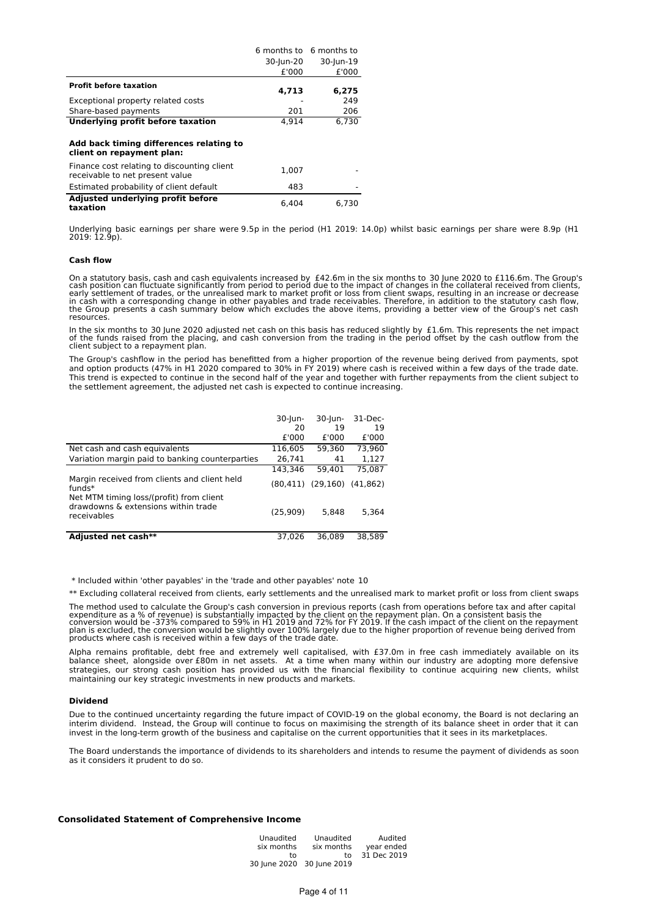|                                    | 6 months to 6 months to |           |
|------------------------------------|-------------------------|-----------|
|                                    | 30-Jun-20               | 30-Jun-19 |
|                                    | £'000                   | £'000     |
| <b>Profit before taxation</b>      | 4.713                   | 6,275     |
| Exceptional property related costs |                         | 249       |
| Share-based payments               | 201                     | 206       |
| Underlying profit before taxation  | 4.914                   | 6.730     |

#### **Add back timing differences relating to client on repayment plan:**

| Adjusted underlying profit before<br>taxation                                  | 6.404 | 6.730 |
|--------------------------------------------------------------------------------|-------|-------|
| Estimated probability of client default                                        | 483   |       |
| Finance cost relating to discounting client<br>receivable to net present value | 1.007 |       |
|                                                                                |       |       |

Underlying basic earnings per share were 9.5p in the period (H1 2019: 14.0p) whilst basic earnings per share were 8.9p (H1 2019: 12.9p).

## **Cash flow**

On a statutory basis, cash and cash equivalents increased by £42.6m in the six months to 30 June 2020 to £116.6m. The Group's<br>cash position can fluctuate significantly from period to period due to the impact of changes in resources.

In the six months to 30 June 2020 adjusted net cash on this basis has reduced slightly by £1.6m. This represents the net impact<br>of the funds raised from the placing, and cash conversion from the trading in the period offse

The Group's cashflow in the period has benefitted from a higher proportion of the revenue being derived from payments, spot and option products (47% in H1 2020 compared to 30% in FY 2019) where cash is received within a few days of the trade date. This trend is expected to continue in the second half of the year and together with further repayments from the client subject to the settlement agreement, the adjusted net cash is expected to continue increasing.

|                                                                                                | 30-Jun-  | 30-Jun-               | 31-Dec-  |
|------------------------------------------------------------------------------------------------|----------|-----------------------|----------|
|                                                                                                | 20       | 19                    | 19       |
|                                                                                                | £'000    | £'000                 | £'000    |
| Net cash and cash equivalents                                                                  | 116.605  | 59.360                | 73.960   |
| Variation margin paid to banking counterparties                                                | 26,741   | 41                    | 1.127    |
|                                                                                                | 143.346  | 59.401                | 75.087   |
| Margin received from clients and client held<br>$funds*$                                       |          | $(80.411)$ $(29.160)$ | (41.862) |
| Net MTM timing loss/(profit) from client<br>drawdowns & extensions within trade<br>receivables | (25.909) | 5.848                 | 5.364    |
| Adjusted net cash**                                                                            | 37.026   | 36.089                | 38,589   |

\* Included within 'other payables' in the 'trade and other payables' note 10

\*\* Excluding collateral received from clients, early settlements and the unrealised mark to market profit or loss from client swaps

The method used to calculate the Group's cash conversion in previous reports (cash from operations before tax and after capital<br>expenditure as a % of revenue) is substantially impacted by the client on the repayment plan. products where cash is received within a few days of the trade date.

Alpha remains profitable, debt free and extremely well capitalised, with £37.0m in free cash immediately available on its balance sheet, alongside over £80m in net assets. At a time when many within our industry are adopting more defensive strategies, our strong cash position has provided us with the financial flexibility to continue acquiring new clients, whilst maintaining our key strategic investments in new products and markets.

#### **Dividend**

Due to the continued uncertainty regarding the future impact of COVID-19 on the global economy, the Board is not declaring an interim dividend. Instead, the Group will continue to focus on maximising the strength of its balance sheet in order that it can invest in the long-term growth of the business and capitalise on the current opportunities that it sees in its marketplaces.

The Board understands the importance of dividends to its shareholders and intends to resume the payment of dividends as soon as it considers it prudent to do so.

## **Consolidated Statement of Comprehensive Income**

| Unaudited  | Unaudited                 | Audited     |
|------------|---------------------------|-------------|
| six months | six months                | year ended  |
| t٥         | to                        | 31 Dec 2019 |
|            | 30 June 2020 30 June 2019 |             |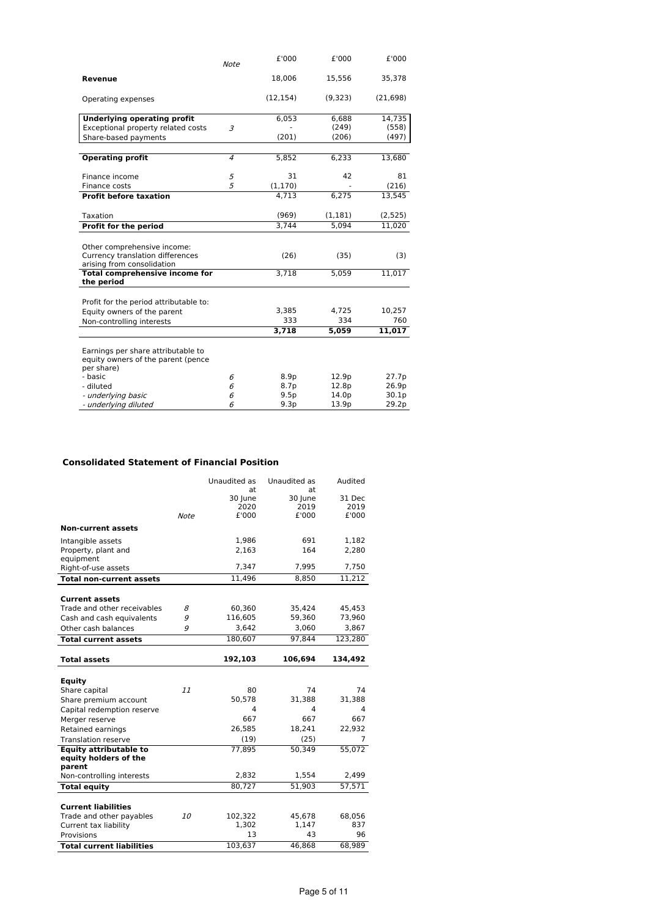|                                                                       | <b>Note</b>    | £'000                    | £'000          | £'000             |
|-----------------------------------------------------------------------|----------------|--------------------------|----------------|-------------------|
| Revenue                                                               |                | 18,006                   | 15,556         | 35,378            |
|                                                                       |                |                          |                |                   |
| Operating expenses                                                    |                | (12, 154)                | (9,323)        | (21, 698)         |
| <b>Underlying operating profit</b>                                    |                | 6.053                    | 6.688          | 14,735            |
| Exceptional property related costs                                    | $\overline{3}$ |                          | (249)          | (558)             |
| Share-based payments                                                  |                | (201)                    | (206)          | (497)             |
|                                                                       |                |                          |                |                   |
| <b>Operating profit</b>                                               | $\overline{4}$ | 5,852                    | 6,233          | 13,680            |
| Finance income                                                        | 5              | 31                       | 42             | 81                |
| Finance costs                                                         | 5              | (1, 170)                 |                | (216)             |
| <b>Profit before taxation</b>                                         |                | 4.713                    | 6.275          | 13,545            |
|                                                                       |                |                          |                |                   |
| Taxation                                                              |                | (969)                    | (1, 181)       | (2,525)           |
| Profit for the period                                                 |                | 3.744                    | 5.094          | 11,020            |
|                                                                       |                |                          |                |                   |
| Other comprehensive income:                                           |                |                          |                |                   |
| Currency translation differences<br>arising from consolidation        |                | (26)                     | (35)           | (3)               |
| <b>Total comprehensive income for</b>                                 |                | 3,718                    | 5,059          | 11,017            |
| the period                                                            |                |                          |                |                   |
|                                                                       |                |                          |                |                   |
| Profit for the period attributable to:<br>Equity owners of the parent |                | 3,385                    | 4,725          | 10,257            |
| Non-controlling interests                                             |                | 333                      | 334            | 760               |
|                                                                       |                | 3.718                    | 5.059          | 11,017            |
|                                                                       |                |                          |                |                   |
| Earnings per share attributable to                                    |                |                          |                |                   |
| equity owners of the parent (pence                                    |                |                          |                |                   |
| per share)                                                            |                |                          |                |                   |
| - basic<br>- diluted                                                  | 6<br>6         | 8.9 <sub>p</sub><br>8.7p | 12.9p<br>12.8p | 27.7p<br>26.9p    |
| - underlying basic                                                    | 6              | 9.5p                     | 14.0p          | 30.1 <sub>p</sub> |
| - underlying diluted                                                  | 6              | 9.3p                     | 13.9p          | 29.2p             |

# **Consolidated Statement of Financial Position**

|                                     |           | Unaudited as  | Unaudited as  | Audited      |
|-------------------------------------|-----------|---------------|---------------|--------------|
|                                     |           | at<br>30 June | at<br>30 June | 31 Dec       |
|                                     |           | 2020          | 2019          | 2019         |
|                                     | Note      | £'000         | £'000         | £'000        |
| <b>Non-current assets</b>           |           |               |               |              |
| Intangible assets                   |           | 1,986         | 691           | 1,182        |
| Property, plant and                 |           | 2,163         | 164           | 2,280        |
| equipment                           |           |               |               |              |
| Right-of-use assets                 |           | 7,347         | 7,995         | 7,750        |
| <b>Total non-current assets</b>     |           | 11,496        | 8,850         | 11,212       |
| <b>Current assets</b>               |           |               |               |              |
| Trade and other receivables         | 8         | 60,360        | 35,424        | 45,453       |
| Cash and cash equivalents           | 9         | 116,605       | 59,360        | 73,960       |
| Other cash balances                 | 9         | 3,642         | 3,060         | 3,867        |
| <b>Total current assets</b>         |           | 180,607       | 97,844        | 123,280      |
|                                     |           |               |               |              |
| <b>Total assets</b>                 |           | 192,103       | 106,694       | 134,492      |
|                                     |           |               |               |              |
| <b>Equity</b>                       |           |               |               |              |
| Share capital                       | 11        | 80<br>50,578  | 74<br>31,388  | 74<br>31,388 |
| Share premium account               |           | 4             | 4             | 4            |
| Capital redemption reserve          |           | 667           | 667           | 667          |
| Merger reserve<br>Retained earnings |           | 26,585        | 18,241        | 22,932       |
| <b>Translation reserve</b>          |           | (19)          | (25)          | 7            |
| <b>Equity attributable to</b>       |           | 77,895        | 50,349        | 55,072       |
| equity holders of the               |           |               |               |              |
| parent                              |           |               |               |              |
| Non-controlling interests           |           | 2,832         | 1,554         | 2,499        |
| <b>Total equity</b>                 |           | 80,727        | 51,903        | 57,571       |
|                                     |           |               |               |              |
| <b>Current liabilities</b>          |           |               |               |              |
| Trade and other payables            | <i>10</i> | 102,322       | 45,678        | 68,056       |
| Current tax liability               |           | 1,302         | 1,147         | 837          |
| Provisions                          |           | 13            | 43            | 96           |
| <b>Total current liabilities</b>    |           | 103,637       | 46,868        | 68,989       |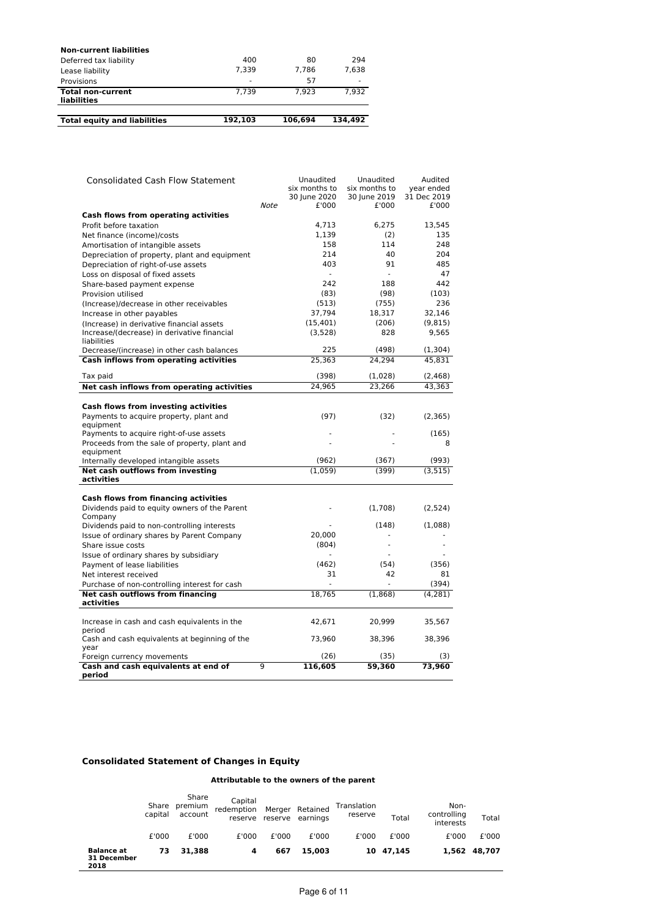| <b>Non-current liabilities</b>                 |         |         |         |
|------------------------------------------------|---------|---------|---------|
| Deferred tax liability                         | 400     | 80      | 294     |
| Lease liability                                | 7.339   | 7.786   | 7.638   |
| Provisions                                     |         | 57      |         |
| <b>Total non-current</b><br><b>liabilities</b> | 7.739   | 7.923   | 7.932   |
| <b>Total equity and liabilities</b>            | 192,103 | 106.694 | 134.492 |

| <b>Consolidated Cash Flow Statement</b>                    | Note | Unaudited<br>six months to<br>30 June 2020<br>£'000 | Unaudited<br>six months to<br>30 June 2019<br>£'000 | Audited<br>year ended<br>31 Dec 2019<br>£'000 |
|------------------------------------------------------------|------|-----------------------------------------------------|-----------------------------------------------------|-----------------------------------------------|
| Cash flows from operating activities                       |      |                                                     |                                                     |                                               |
| Profit before taxation                                     |      | 4,713                                               | 6.275                                               | 13,545                                        |
| Net finance (income)/costs                                 |      | 1,139                                               | (2)                                                 | 135                                           |
| Amortisation of intangible assets                          |      | 158                                                 | 114                                                 | 248                                           |
|                                                            |      | 214                                                 | 40                                                  | 204                                           |
| Depreciation of property, plant and equipment              |      | 403                                                 | 91                                                  | 485                                           |
| Depreciation of right-of-use assets                        |      | $\sim$                                              | ÷.                                                  | 47                                            |
| Loss on disposal of fixed assets                           |      | 242                                                 | 188                                                 | 442                                           |
| Share-based payment expense                                |      | (83)                                                |                                                     |                                               |
| Provision utilised                                         |      |                                                     | (98)                                                | (103)<br>236                                  |
| (Increase)/decrease in other receivables                   |      | (513)                                               | (755)                                               |                                               |
| Increase in other payables                                 |      | 37,794                                              | 18,317                                              | 32,146                                        |
| (Increase) in derivative financial assets                  |      | (15, 401)                                           | (206)                                               | (9, 815)                                      |
| Increase/(decrease) in derivative financial<br>liabilities |      | (3,528)                                             | 828                                                 | 9,565                                         |
| Decrease/(increase) in other cash balances                 |      | 225                                                 | (498)                                               | (1,304)                                       |
| Cash inflows from operating activities                     |      | 25,363                                              | 24,294                                              | 45,831                                        |
|                                                            |      |                                                     |                                                     |                                               |
| Tax paid<br>Net cash inflows from operating activities     |      | (398)<br>24,965                                     | (1,028)<br>23,266                                   | (2, 468)<br>43,363                            |
|                                                            |      |                                                     |                                                     |                                               |
| Cash flows from investing activities                       |      |                                                     |                                                     |                                               |
| Payments to acquire property, plant and                    |      | (97)                                                | (32)                                                | (2,365)                                       |
| equipment                                                  |      |                                                     |                                                     |                                               |
| Payments to acquire right-of-use assets                    |      |                                                     |                                                     | (165)                                         |
| Proceeds from the sale of property, plant and              |      | L.                                                  |                                                     | 8                                             |
| equipment                                                  |      |                                                     |                                                     |                                               |
| Internally developed intangible assets                     |      | (962)                                               | (367)                                               | (993)                                         |
| Net cash outflows from investing<br>activities             |      | (1.059)                                             | (399)                                               | (3.515)                                       |
|                                                            |      |                                                     |                                                     |                                               |
| Cash flows from financing activities                       |      |                                                     |                                                     |                                               |
| Dividends paid to equity owners of the Parent              |      |                                                     | (1,708)                                             | (2,524)                                       |
| Company                                                    |      |                                                     |                                                     |                                               |
| Dividends paid to non-controlling interests                |      |                                                     | (148)                                               | (1,088)                                       |
| Issue of ordinary shares by Parent Company                 |      | 20,000                                              |                                                     |                                               |
| Share issue costs                                          |      | (804)                                               | L,                                                  | L,                                            |
| Issue of ordinary shares by subsidiary                     |      | $\blacksquare$                                      | ÷,                                                  |                                               |
| Payment of lease liabilities                               |      | (462)                                               | (54)                                                | (356)                                         |
| Net interest received                                      |      | 31                                                  | 42                                                  | 81                                            |
| Purchase of non-controlling interest for cash              |      |                                                     |                                                     | (394)                                         |
| Net cash outflows from financing                           |      | 18,765                                              | (1,868)                                             | (4,281)                                       |
| activities                                                 |      |                                                     |                                                     |                                               |
| Increase in cash and cash equivalents in the<br>period     |      | 42,671                                              | 20,999                                              | 35,567                                        |
| Cash and cash equivalents at beginning of the              |      | 73,960                                              | 38,396                                              | 38,396                                        |
| year<br>Foreign currency movements                         |      | (26)                                                | (35)                                                | (3)                                           |
| Cash and cash equivalents at end of                        | 9    | 116,605                                             | 59,360                                              | 73,960                                        |
| period                                                     |      |                                                     |                                                     |                                               |

# **Consolidated Statement of Changes in Equity**

# **Attributable to the owners of the parent**

| <b>Balance at</b><br><b>31 December</b><br>2018 | 73               | 31,388                      | 4                                | 667               | 15.003               |                        | 10 47.145 |                                  | 1.562 48.707 |
|-------------------------------------------------|------------------|-----------------------------|----------------------------------|-------------------|----------------------|------------------------|-----------|----------------------------------|--------------|
|                                                 | £'000            | £'000                       | £'000                            | £'000             | £'000                | £'000                  | £'000     | £'000                            | £'000        |
|                                                 | Share<br>capital | Share<br>premium<br>account | Capital<br>redemption<br>reserve | Merger<br>reserve | Retained<br>earnings | Translation<br>reserve | Total     | Non-<br>controlling<br>interests | Total        |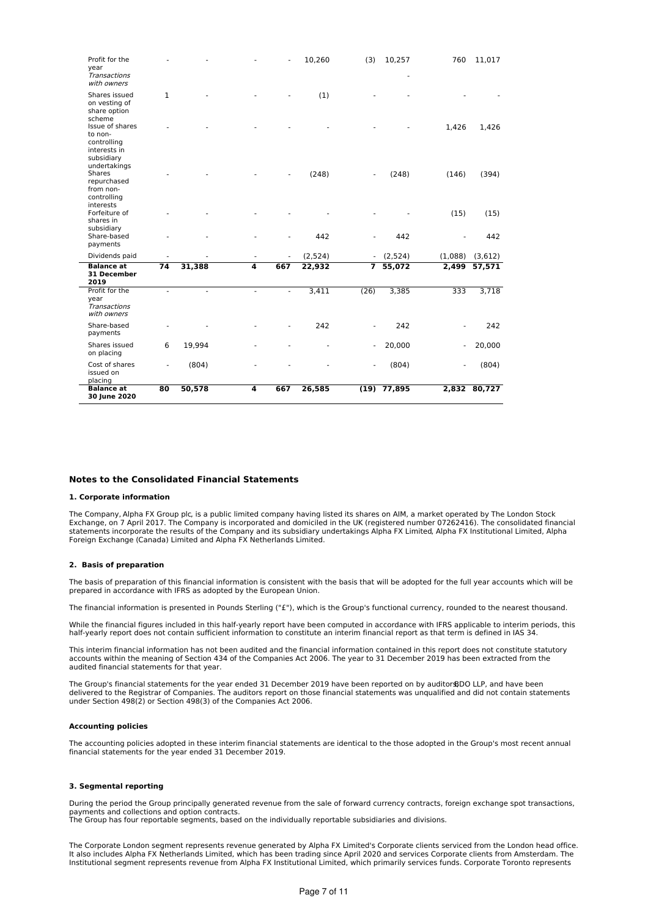| Profit for the<br>year<br><b>Transactions</b><br>with owners                            |              |        |                          |                          | 10,260  | (3)  | 10,257               | 760     | 11,017       |
|-----------------------------------------------------------------------------------------|--------------|--------|--------------------------|--------------------------|---------|------|----------------------|---------|--------------|
| Shares issued<br>on vesting of<br>share option<br>scheme                                | $\mathbf{1}$ |        |                          |                          | (1)     |      |                      |         |              |
| Issue of shares<br>to non-<br>controlling<br>interests in<br>subsidiary<br>undertakings |              |        |                          |                          |         |      |                      | 1,426   | 1,426        |
| Shares<br>repurchased<br>from non-<br>controlling<br>interests                          |              |        |                          |                          | (248)   |      | (248)                | (146)   | (394)        |
| Forfeiture of<br>shares in<br>subsidiary                                                |              |        |                          |                          |         |      |                      | (15)    | (15)         |
| Share-based<br>payments                                                                 |              |        |                          |                          | 442     |      | 442                  |         | 442          |
| Dividends paid                                                                          |              |        |                          |                          | (2,524) |      | (2,524)              | (1,088) | (3,612)      |
| <b>Balance at</b><br>31 December<br>2019                                                | 74           | 31,388 | 4                        | 667                      | 22,932  |      | $7\overline{55,072}$ | 2,499   | 57,571       |
| Profit for the<br>year<br><b>Transactions</b><br>with owners                            | L,           | ä,     | $\overline{\phantom{a}}$ | $\overline{\phantom{a}}$ | 3,411   | (26) | 3,385                | 333     | 3,718        |
| Share-based<br>payments                                                                 |              |        |                          |                          | 242     |      | 242                  |         | 242          |
| Shares issued<br>on placing                                                             | 6            | 19,994 |                          |                          |         |      | 20,000               |         | 20,000       |
| Cost of shares<br>issued on<br>placing                                                  |              | (804)  |                          |                          |         |      | (804)                |         | (804)        |
| <b>Balance at</b><br>30 June 2020                                                       | 80           | 50,578 | 4                        | 667                      | 26,585  |      | $(19)$ 77,895        |         | 2,832 80,727 |

#### **Notes to the Consolidated Financial Statements**

#### **1. Corporate information**

The Company, Alpha FX Group plc, is a public limited company having listed its shares on AIM, a market operated by The London Stock Exchange, on 7 April 2017. The Company is incorporated and domiciled in the UK (registered number 07262416). The consolidated financial statements incorporate the results of the Company and its subsidiary undertakings Alpha FX Limited, Alpha FX Institutional Limited, Alpha Foreign Exchange (Canada) Limited and Alpha FX Netherlands Limited.

# **2. Basis of preparation**

The basis of preparation of this financial information is consistent with the basis that will be adopted for the full year accounts which will be prepared in accordance with IFRS as adopted by the European Union.

The financial information is presented in Pounds Sterling ("£"), which is the Group's functional currency, rounded to the nearest thousand.

While the financial figures included in this half-yearly report have been computed in accordance with IFRS applicable to interim periods, this half-yearly report does not contain sufficient information to constitute an interim financial report as that term is defined in IAS 34.

This interim financial information has not been audited and the financial information contained in this report does not constitute statutory<br>accounts within the meaning of Section 434 of the Companies Act 2006. The year to

The Group's financial statements for the year ended 31 December 2019 have been reported on by auditor\$DO LLP, and have been<br>delivered to the Registrar of Companies. The auditors report on those financial statements was unq

#### **Accounting policies**

The accounting policies adopted in these interim financial statements are identical to the those adopted in the Group's most recent annual financial statements for the year ended 31 December 2019.

## **3. Segmental reporting**

During the period the Group principally generated revenue from the sale of forward currency contracts, foreign exchange spot transactions, payments and collections and option contracts.

The Group has four reportable segments, based on the individually reportable subsidiaries and divisions.

The Corporate London segment represents revenue generated by Alpha FX Limited's Corporate clients serviced from the London head office.<br>It also includes Alpha FX Netherlands Limited, which has been trading since April 2020 Institutional segment represents revenue from Alpha FX Institutional Limited, which primarily services funds. Corporate Toronto represents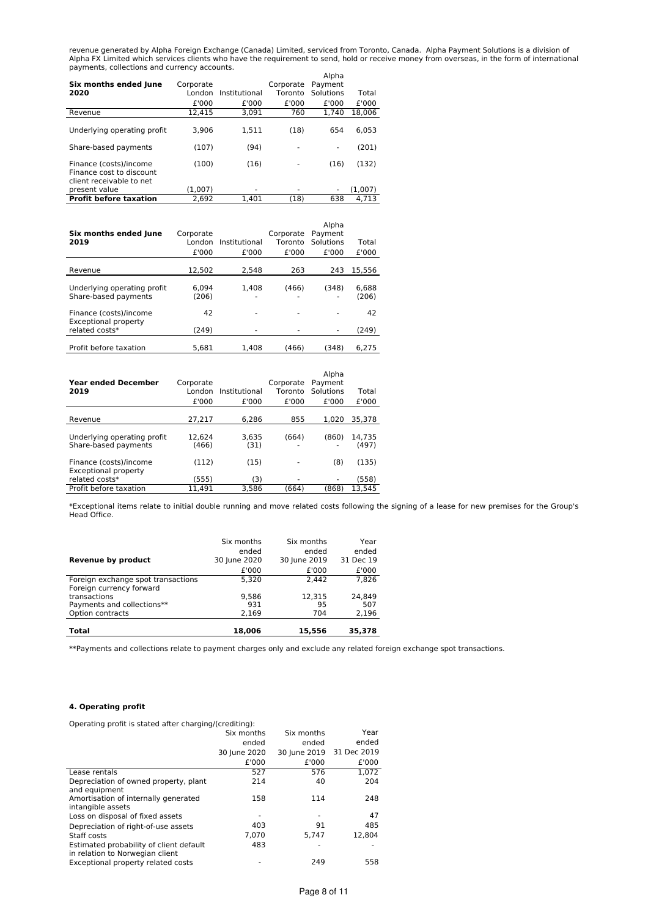revenue generated by Alpha Foreign Exchange (Canada) Limited, serviced from Toronto, Canada. Alpha Payment Solutions is a division of<br>Alpha FX Limited which services clients who have the requirement to send, hold or recei payments, collections and currency accounts.

|                               |           |               |           | Alpha     |         |
|-------------------------------|-----------|---------------|-----------|-----------|---------|
| Six months ended June         | Corporate |               | Corporate | Payment   |         |
| 2020                          | London    | Institutional | Toronto   | Solutions | Total   |
|                               | £'000     | £'000         | £'000     | £'000     | £'000   |
| Revenue                       | 12.415    | 3.091         | 760       | 1.740     | 18.006  |
|                               |           |               |           |           |         |
| Underlying operating profit   | 3.906     | 1.511         | (18)      | 654       | 6.053   |
| Share-based payments          | (107)     | (94)          | ۰         | ۰         | (201)   |
|                               |           |               |           |           |         |
| Finance (costs)/income        | (100)     | (16)          |           | (16)      | (132)   |
| Finance cost to discount      |           |               |           |           |         |
| client receivable to net      |           |               |           |           |         |
| present value                 | (1,007)   |               |           |           | (1,007) |
| <b>Profit before taxation</b> | 2.692     | 1.401         | (18)      | 638       | 4.713   |

| Six months ended June                               | Corporate      |               | Corporate  | Alpha<br>Payment |                |
|-----------------------------------------------------|----------------|---------------|------------|------------------|----------------|
| 2019                                                | London         | Institutional | Toronto    | Solutions        | Total          |
|                                                     | £'000          | £'000         | £'000      | £'000            | £'000          |
| Revenue                                             | 12.502         | 2.548         | 263        | 243              | 15,556         |
| Underlying operating profit<br>Share-based payments | 6.094<br>(206) | 1.408         | (466)<br>۰ | (348)            | 6,688<br>(206) |
| Finance (costs)/income<br>Exceptional property      | 42             | ۰             | ۰          |                  | 42             |
| related costs*                                      | (249)          |               |            |                  | (249)          |
| Profit before taxation                              | 5.681          | 1.408         | (466)      | (348)            | 6.275          |

| <b>Year ended December</b><br>2019                    | Corporate<br>London<br>£'000 | Institutional<br>£'000 | Corporate<br>Toronto<br>£'000 | Alpha<br>Payment<br>Solutions<br>£'000 | Total<br>£'000  |
|-------------------------------------------------------|------------------------------|------------------------|-------------------------------|----------------------------------------|-----------------|
| Revenue                                               | 27.217                       | 6.286                  | 855                           | 1.020                                  | 35.378          |
| Underlying operating profit<br>Share-based payments   | 12.624<br>(466)              | 3.635<br>(31)          | (664)                         | (860)                                  | 14.735<br>(497) |
| Finance (costs)/income<br><b>Exceptional property</b> | (112)                        | (15)                   | ۰                             | (8)                                    | (135)           |
| related costs*                                        | (555)                        | (3)                    |                               |                                        | (558)           |
| Profit before taxation                                | 11.491                       | 3,586                  | (664)                         | (868)                                  | 13.545          |

\*Exceptional items relate to initial double running and move related costs following the signing of a lease for new premises for the Group's Head Office.

| Revenue by product                                             | Six months<br>ended<br>30 June 2020 | Six months<br>ended<br>30 June 2019 | Year<br>ended<br>31 Dec 19 |
|----------------------------------------------------------------|-------------------------------------|-------------------------------------|----------------------------|
|                                                                | £'000                               | £'000                               | £'000                      |
| Foreign exchange spot transactions<br>Foreign currency forward | 5.320                               | 2.442                               | 7.826                      |
| transactions                                                   | 9.586                               | 12.315                              | 24.849                     |
| Payments and collections**                                     | 931                                 | 95                                  | 507                        |
| Option contracts                                               | 2,169                               | 704                                 | 2,196                      |
| Total                                                          | 18.006                              | 15,556                              | 35,378                     |

\*\*Payments and collections relate to payment charges only and exclude any related foreign exchange spot transactions.

# **4. Operating profit**

Operating profit is stated after charging/(crediting): Six months Year ended ended ended ended<br>30 June 2020 30 June 2019 31 Dec 2019 30 June 2020 30 June 2019 31 Dec 2019 £'000 £'000 £'000 Lease rentals **527** 576 1,072 Depreciation of owned property, plant and equipment Amortisation of internally generated 214 40 204 intangible assets 158 114 248 المستعدية المستعدد المستعدد المستعدد المستعدد المستعدد المستعدد المستعدد المستعدد المستعدد المستعدد المستعدد ا<br>Depreciation of right-of-use assets 1985 - 1997 - 1998 - 1998 - 1998 - 1999 - 1999 - 1999 - 1999 - 1999 - 1999 Depreciation of right-of-use assets  $\begin{array}{cccc} 403 & 91 & 485 \\ 5 \text{kaff costs} & 7,070 & 5,747 & 12,804 \end{array}$ Staff costs 7,070 5,747 12,804 Estimated probability of client default in relation to Norwegian client 483 - - Exceptional property related costs and the costs of the 249 558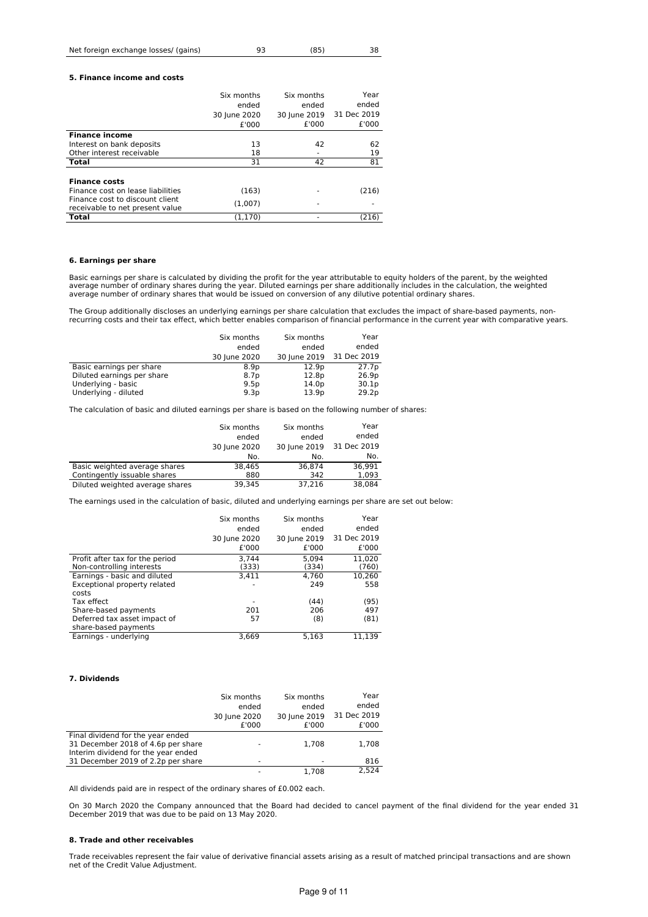| Net foreign exchange losses/ (gains) |  | (85) |  |
|--------------------------------------|--|------|--|
|--------------------------------------|--|------|--|

## **5. Finance income and costs**

|                                                                                                                                 | Six months<br>ended<br>30 June 2020<br>£'000 | Six months<br>ended<br>30 June 2019<br>£'000 | Year<br>ended<br>31 Dec 2019<br>£'000 |
|---------------------------------------------------------------------------------------------------------------------------------|----------------------------------------------|----------------------------------------------|---------------------------------------|
| <b>Finance income</b>                                                                                                           |                                              |                                              |                                       |
| Interest on bank deposits                                                                                                       | 13                                           | 42                                           | 62                                    |
| Other interest receivable                                                                                                       | 18                                           |                                              | 19                                    |
| Total                                                                                                                           | 31                                           | 42                                           | 81                                    |
| <b>Finance costs</b><br>Finance cost on lease liabilities<br>Finance cost to discount client<br>receivable to net present value | (163)<br>(1,007)                             |                                              | (216)                                 |
| <b>Total</b>                                                                                                                    | (1, 170)                                     |                                              | (216)                                 |

# **6. Earnings per share**

Basic earnings per share is calculated by dividing the profit for the year attributable to equity holders of the parent, by the weighted<br>average number of ordinary shares during the year. Diluted earnings per share additio

The Group additionally discloses an underlying earnings per share calculation that excludes the impact of share-based payments, nonrecurring costs and their tax effect, which better enables comparison of financial performance in the current year with comparative years.

|                            | Six months       | Six months               | Year              |
|----------------------------|------------------|--------------------------|-------------------|
|                            | ended            | ended                    | ended             |
|                            | 30 June 2020     | 30 June 2019 31 Dec 2019 |                   |
| Basic earnings per share   | 8.9 <sub>p</sub> | 12.9p                    | 27.7p             |
| Diluted earnings per share | 8.7p             | 12.8p                    | 26.9p             |
| Underlying - basic         | 9.5p             | 14.0p                    | 30.1 <sub>p</sub> |
| Underlying - diluted       | 9.3 <sub>p</sub> | 13.9 <sub>p</sub>        | 29.2p             |

The calculation of basic and diluted earnings per share is based on the following number of shares:

|                                 | Six months   | Six months   | Year        |
|---------------------------------|--------------|--------------|-------------|
|                                 | ended        | ended        | ended       |
|                                 | 30 June 2020 | 30 June 2019 | 31 Dec 2019 |
|                                 | No.          | No.          | No.         |
| Basic weighted average shares   | 38.465       | 36.874       | 36.991      |
| Contingently issuable shares    | 880          | 342          | 1.093       |
| Diluted weighted average shares | 39.345       | 37,216       | 38.084      |

The earnings used in the calculation of basic, diluted and underlying earnings per share are set out below:

|                                                                       | Six months   | Six months         | Year                |
|-----------------------------------------------------------------------|--------------|--------------------|---------------------|
|                                                                       | ended        | ended              | ended               |
|                                                                       | 30 June 2020 | 30 June 2019       | 31 Dec 2019         |
|                                                                       | £'000        | £'000              | £'000               |
| Profit after tax for the period                                       | 3.744        | 5,094              | 11.020              |
| Non-controlling interests                                             | (333)        | (334)              | (760)               |
| Earnings - basic and diluted<br>Exceptional property related<br>costs | 3.411<br>-   | 4.760<br>249       | 10,260<br>558       |
| Tax effect<br>Share-based payments<br>Deferred tax asset impact of    | 201<br>57    | (44)<br>206<br>(8) | (95)<br>497<br>(81) |
| share-based payments<br>Earnings - underlying                         | 3.669        | 5.163              | 11.139              |

## **7. Dividends**

|                                     | Six months   | Six months   | Year        |
|-------------------------------------|--------------|--------------|-------------|
|                                     | ended        | ended        | ended       |
|                                     | 30 June 2020 | 30 June 2019 | 31 Dec 2019 |
|                                     | £'000        | £'000        | £'000       |
| Final dividend for the year ended   |              |              |             |
| 31 December 2018 of 4.6p per share  |              | 1.708        | 1.708       |
| Interim dividend for the year ended |              |              |             |
| 31 December 2019 of 2.2p per share  | ۰            |              | 816         |
|                                     |              | 1.708        | 2.524       |

All dividends paid are in respect of the ordinary shares of £0.002 each.

On 30 March 2020 the Company announced that the Board had decided to cancel payment of the final dividend for the year ended 31 December 2019 that was due to be paid on 13 May 2020.

## **8. Trade and other receivables**

Trade receivables represent the fair value of derivative financial assets arising as a result of matched principal transactions and are shown net of the Credit Value Adjustment.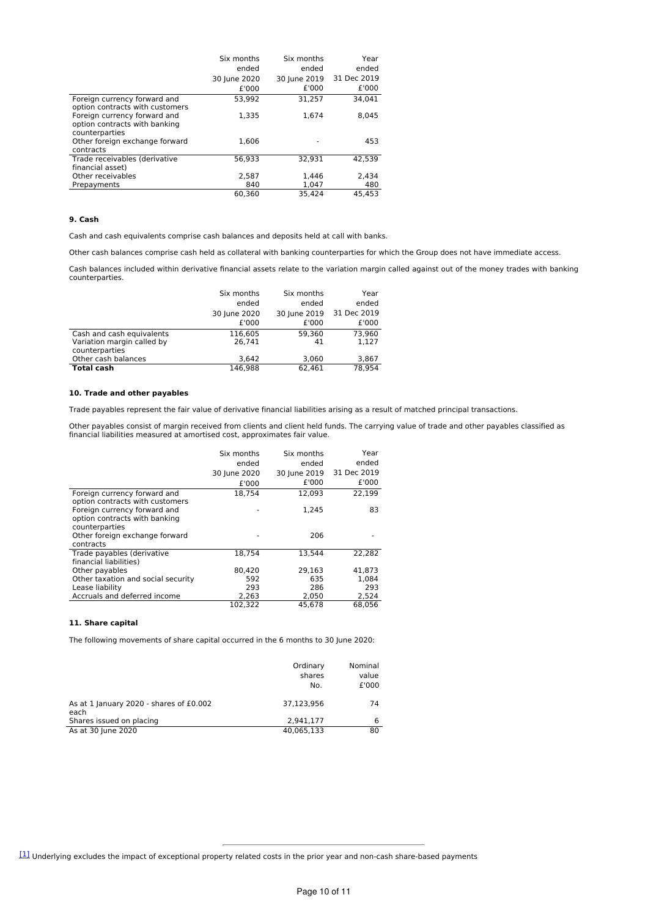|                                                                 | Six months   | Six months     | Year         |
|-----------------------------------------------------------------|--------------|----------------|--------------|
|                                                                 | ended        | ended          | ended        |
|                                                                 | 30 June 2020 | 30 June 2019   | 31 Dec 2019  |
|                                                                 | £'000        | £'000          | £'000        |
| Foreign currency forward and                                    | 53,992       | 31,257         | 34.041       |
| option contracts with customers<br>Foreign currency forward and | 1.335        | 1.674          | 8.045        |
| option contracts with banking<br>counterparties                 |              |                |              |
| Other foreign exchange forward<br>contracts                     | 1.606        |                | 453          |
| Trade receivables (derivative<br>financial asset)               | 56,933       | 32.931         | 42.539       |
| Other receivables<br>Prepayments                                | 2,587<br>840 | 1,446<br>1,047 | 2,434<br>480 |
|                                                                 | 60.360       | 35.424         | 45.453       |

# **9. Cash**

Cash and cash equivalents comprise cash balances and deposits held at call with banks.

Other cash balances comprise cash held as collateral with banking counterparties for which the Group does not have immediate access.

Cash balances included within derivative financial assets relate to the variation margin called against out of the money trades with banking counterparties.

|                                                                                                  | Six months<br>ended<br>30 June 2020<br>£'000 | Six months<br>ended<br>30 June 2019<br>£'000 | Year<br>ended<br>31 Dec 2019<br>£'000 |
|--------------------------------------------------------------------------------------------------|----------------------------------------------|----------------------------------------------|---------------------------------------|
| Cash and cash equivalents<br>Variation margin called by<br>counterparties<br>Other cash balances | 116.605<br>26.741<br>3.642                   | 59.360<br>41<br>3.060                        | 73,960<br>1,127<br>3,867              |
| <b>Total cash</b>                                                                                | 146.988                                      | 62.461                                       | 78.954                                |

# **10. Trade and other payables**

Trade payables represent the fair value of derivative financial liabilities arising as a result of matched principal transactions.

Other payables consist of margin received from clients and client held funds. The carrying value of trade and other payables classified as<br>financial liabilities measured at amortised cost, approximates fair value.

|                                                                                                                                   | Six months<br>ended           | Six months<br>ended           | Year<br>ended                   |
|-----------------------------------------------------------------------------------------------------------------------------------|-------------------------------|-------------------------------|---------------------------------|
|                                                                                                                                   | 30 June 2020                  | 30 June 2019                  | 31 Dec 2019                     |
|                                                                                                                                   | £'000                         | £'000                         | £'000                           |
| Foreign currency forward and                                                                                                      | 18,754                        | 12,093                        | 22,199                          |
| option contracts with customers<br>Foreign currency forward and<br>option contracts with banking                                  |                               | 1.245                         | 83                              |
| counterparties<br>Other foreign exchange forward<br>contracts                                                                     |                               | 206                           |                                 |
| Trade payables (derivative                                                                                                        | 18.754                        | 13.544                        | 22.282                          |
| financial liabilities)<br>Other payables<br>Other taxation and social security<br>Lease liability<br>Accruals and deferred income | 80,420<br>592<br>293<br>2,263 | 29.163<br>635<br>286<br>2,050 | 41,873<br>1.084<br>293<br>2,524 |
|                                                                                                                                   | 102,322                       | 45.678                        | 68,056                          |

## **11. Share capital**

The following movements of share capital occurred in the 6 months to 30 June 2020:

|                                                 | Ordinary<br>shares<br>No. | Nominal<br>value<br>£'000 |
|-------------------------------------------------|---------------------------|---------------------------|
| As at 1 January 2020 - shares of £0.002<br>each | 37.123.956                | 74                        |
| Shares issued on placing                        | 2.941.177                 | 6                         |
| As at 30 June 2020                              | 40,065,133                | 80                        |

[1] Underlying excludes the impact of exceptional property related costs in the prior year and non-cash share-based payments